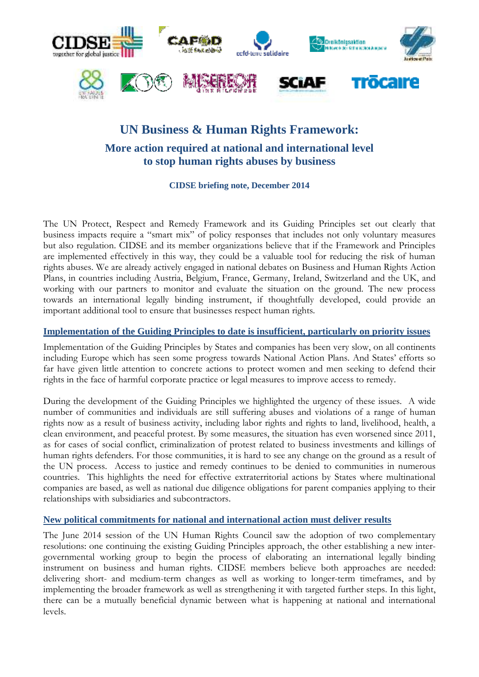

# **UN Business & Human Rights Framework:**

# **More action required at national and international level to stop human rights abuses by business**

**CIDSE briefing note, December 2014** 

The UN Protect, Respect and Remedy Framework and its Guiding Principles set out clearly that business impacts require a "smart mix" of policy responses that includes not only voluntary measures but also regulation. CIDSE and its member organizations believe that if the Framework and Principles are implemented effectively in this way, they could be a valuable tool for reducing the risk of human rights abuses. We are already actively engaged in national debates on Business and Human Rights Action Plans, in countries including Austria, Belgium, France, Germany, Ireland, Switzerland and the UK, and working with our partners to monitor and evaluate the situation on the ground. The new process towards an international legally binding instrument, if thoughtfully developed, could provide an important additional tool to ensure that businesses respect human rights.

# **Implementation of the Guiding Principles to date is insufficient, particularly on priority issues**

Implementation of the Guiding Principles by States and companies has been very slow, on all continents including Europe which has seen some progress towards National Action Plans. And States' efforts so far have given little attention to concrete actions to protect women and men seeking to defend their rights in the face of harmful corporate practice or legal measures to improve access to remedy.

During the development of the Guiding Principles we highlighted the urgency of these issues. A wide number of communities and individuals are still suffering abuses and violations of a range of human rights now as a result of business activity, including labor rights and rights to land, livelihood, health, a clean environment, and peaceful protest. By some measures, the situation has even worsened since 2011, as for cases of social conflict, criminalization of protest related to business investments and killings of human rights defenders. For those communities, it is hard to see any change on the ground as a result of the UN process. Access to justice and remedy continues to be denied to communities in numerous countries. This highlights the need for effective extraterritorial actions by States where multinational companies are based, as well as national due diligence obligations for parent companies applying to their relationships with subsidiaries and subcontractors.

# **New political commitments for national and international action must deliver results**

The June 2014 session of the UN Human Rights Council saw the adoption of two complementary resolutions: one continuing the existing Guiding Principles approach, the other establishing a new intergovernmental working group to begin the process of elaborating an international legally binding instrument on business and human rights. CIDSE members believe both approaches are needed: delivering short- and medium-term changes as well as working to longer-term timeframes, and by implementing the broader framework as well as strengthening it with targeted further steps. In this light, there can be a mutually beneficial dynamic between what is happening at national and international levels.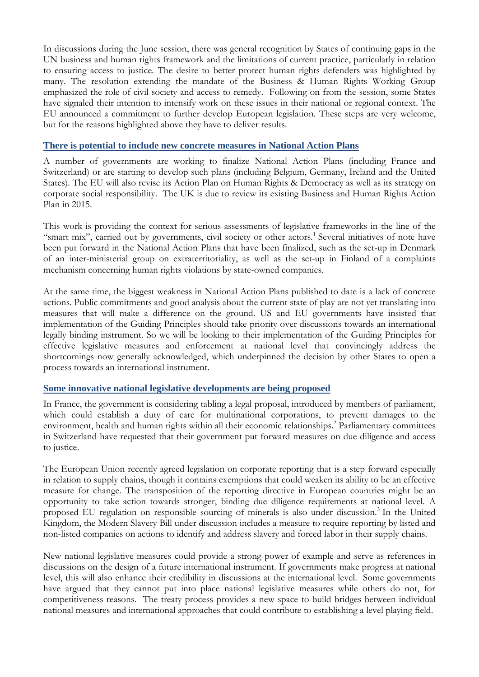In discussions during the June session, there was general recognition by States of continuing gaps in the UN business and human rights framework and the limitations of current practice, particularly in relation to ensuring access to justice. The desire to better protect human rights defenders was highlighted by many. The resolution extending the mandate of the Business & Human Rights Working Group emphasized the role of civil society and access to remedy. Following on from the session, some States have signaled their intention to intensify work on these issues in their national or regional context. The EU announced a commitment to further develop European legislation. These steps are very welcome, but for the reasons highlighted above they have to deliver results.

# **There is potential to include new concrete measures in National Action Plans**

A number of governments are working to finalize National Action Plans (including France and Switzerland) or are starting to develop such plans (including Belgium, Germany, Ireland and the United States). The EU will also revise its Action Plan on Human Rights & Democracy as well as its strategy on corporate social responsibility. The UK is due to review its existing Business and Human Rights Action Plan in 2015.

This work is providing the context for serious assessments of legislative frameworks in the line of the "smart mix", carried out by governments, civil society or other actors.<sup>1</sup> Several initiatives of note have been put forward in the National Action Plans that have been finalized, such as the set-up in Denmark of an inter-ministerial group on extraterritoriality, as well as the set-up in Finland of a complaints mechanism concerning human rights violations by state-owned companies.

At the same time, the biggest weakness in National Action Plans published to date is a lack of concrete actions. Public commitments and good analysis about the current state of play are not yet translating into measures that will make a difference on the ground. US and EU governments have insisted that implementation of the Guiding Principles should take priority over discussions towards an international legally binding instrument. So we will be looking to their implementation of the Guiding Principles for effective legislative measures and enforcement at national level that convincingly address the shortcomings now generally acknowledged, which underpinned the decision by other States to open a process towards an international instrument.

### **Some innovative national legislative developments are being proposed**

In France, the government is considering tabling a legal proposal, introduced by members of parliament, which could establish a duty of care for multinational corporations, to prevent damages to the environment, health and human rights within all their economic relationships.<sup>2</sup> Parliamentary committees in Switzerland have requested that their government put forward measures on due diligence and access to justice.

The European Union recently agreed legislation on corporate reporting that is a step forward especially in relation to supply chains, though it contains exemptions that could weaken its ability to be an effective measure for change. The transposition of the reporting directive in European countries might be an opportunity to take action towards stronger, binding due diligence requirements at national level. A proposed EU regulation on responsible sourcing of minerals is also under discussion.<sup>3</sup> In the United Kingdom, the Modern Slavery Bill under discussion includes a measure to require reporting by listed and non-listed companies on actions to identify and address slavery and forced labor in their supply chains.

New national legislative measures could provide a strong power of example and serve as references in discussions on the design of a future international instrument. If governments make progress at national level, this will also enhance their credibility in discussions at the international level. Some governments have argued that they cannot put into place national legislative measures while others do not, for competitiveness reasons. The treaty process provides a new space to build bridges between individual national measures and international approaches that could contribute to establishing a level playing field.